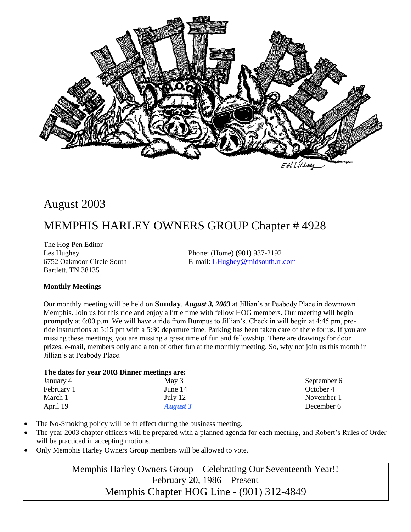

## August 2003

## MEMPHIS HARLEY OWNERS GROUP Chapter # 4928

The Hog Pen Editor Bartlett, TN 38135

Les Hughey Phone: (Home) (901) 937-2192 6752 Oakmoor Circle South E-mail: [LHughey@midsouth.rr.com](mailto:LHughey@midsouth.rr.com)

## **Monthly Meetings**

Our monthly meeting will be held on **Sunday**, *August 3, 2003* at Jillian's at Peabody Place in downtown Memphis**.** Join us for this ride and enjoy a little time with fellow HOG members. Our meeting will begin **promptly** at 6:00 p.m. We will have a ride from Bumpus to Jillian's. Check in will begin at 4:45 pm, preride instructions at 5:15 pm with a 5:30 departure time. Parking has been taken care of there for us. If you are missing these meetings, you are missing a great time of fun and fellowship. There are drawings for door prizes, e-mail, members only and a ton of other fun at the monthly meeting. So, why not join us this month in Jillian's at Peabody Place.

#### **The dates for year 2003 Dinner meetings are:**

| January 4  | May 3           | September 6 |
|------------|-----------------|-------------|
| February 1 | June 14         | October 4   |
| March 1    | July 12         | November 1  |
| April 19   | <b>August 3</b> | December 6  |
|            |                 |             |

- The No-Smoking policy will be in effect during the business meeting.
- The year 2003 chapter officers will be prepared with a planned agenda for each meeting, and Robert's Rules of Order will be practiced in accepting motions.
- Only Memphis Harley Owners Group members will be allowed to vote.

Memphis Harley Owners Group – Celebrating Our Seventeenth Year!! February 20, 1986 – Present Memphis Chapter HOG Line - (901) 312-4849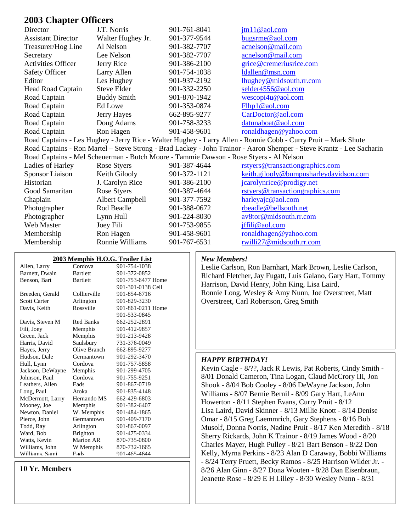## **2003 Chapter Officers**

| Director                  | J.T. Norris                                                                            | 901-761-8041 | jtn11@aol.com                                                                                                        |
|---------------------------|----------------------------------------------------------------------------------------|--------------|----------------------------------------------------------------------------------------------------------------------|
| <b>Assistant Director</b> | Walter Hughey Jr.                                                                      | 901-377-9544 | bugsrme@aol.com                                                                                                      |
| Treasurer/Hog Line        | Al Nelson                                                                              | 901-382-7707 | acnelson@mail.com                                                                                                    |
| Secretary                 | Lee Nelson                                                                             | 901-382-7707 | acnelson@mail.com                                                                                                    |
| <b>Activities Officer</b> | Jerry Rice                                                                             | 901-386-2100 | grice@cremeriusrice.com                                                                                              |
| <b>Safety Officer</b>     | Larry Allen                                                                            | 901-754-1038 | ldallen@msn.com                                                                                                      |
| Editor                    | Les Hughey                                                                             | 901-937-2192 | lhughey@midsouth.rr.com                                                                                              |
| Head Road Captain         | Steve Elder                                                                            | 901-332-2250 | selder4556@aol.com                                                                                                   |
| Road Captain              | <b>Buddy Smith</b>                                                                     | 901-870-1942 | wescopi4u@aol.com                                                                                                    |
| Road Captain              | Ed Lowe                                                                                | 901-353-0874 | Flhp1@aol.com                                                                                                        |
| Road Captain              | Jerry Hayes                                                                            | 662-895-9277 | CarDoctor@aol.com                                                                                                    |
| Road Captain              | Doug Adams                                                                             | 901-758-3233 | datunaboat@aol.com                                                                                                   |
| Road Captain              | Ron Hagen                                                                              | 901-458-9601 | ronaldhagen@yahoo.com                                                                                                |
|                           |                                                                                        |              | Road Captains - Les Hughey - Jerry Rice - Walter Hughey - Larry Allen - Ronnie Cobb - Curry Pruit – Mark Shute       |
|                           |                                                                                        |              | Road Captains - Ron Martel – Steve Strong - Brad Lackey - John Trainor - Aaron Shemper - Steve Krantz - Lee Sacharin |
|                           | Road Captains - Mel Scheuerman - Butch Moore - Tammie Dawson - Rose Styers - Al Nelson |              |                                                                                                                      |
| Ladies of Harley          | Rose Styers                                                                            | 901-387-4644 | rstyers@transactiongraphics.com                                                                                      |
| Sponsor Liaison           | Keith Gilooly                                                                          | 901-372-1121 | keith.gilooly@bumpusharleydavidson.com                                                                               |
| Historian                 | J. Carolyn Rice                                                                        | 901-386-2100 | jcarolynrice@prodigy.net                                                                                             |
| Good Samaritan            | Rose Styers                                                                            | 901-387-4644 | rstyers@transactiongraphics.com                                                                                      |
| Chaplain                  | <b>Albert Campbell</b>                                                                 | 901-377-7592 | harleyajc@aol.com                                                                                                    |
| Photographer              | Rod Beadle                                                                             | 901-388-0672 | rbeadle@bellsouth.net                                                                                                |
| Photographer              | Lynn Hull                                                                              | 901-224-8030 | av8tor@midsouth.rr.com                                                                                               |
| Web Master                | Joey Fili                                                                              | 901-753-9855 | jffili@aol.com                                                                                                       |
| Membership                | Ron Hagen                                                                              | 901-458-9601 | ronaldhagen@yahoo.com                                                                                                |
| Membership                | Ronnie Williams                                                                        | 901-767-6531 | rwilli27@midsouth.rr.com                                                                                             |

| 2003 Memphis H.O.G. Trailer List |                 |                   |  |  |  |
|----------------------------------|-----------------|-------------------|--|--|--|
| Allen, Larry                     | Cordova         | 901-754-1038      |  |  |  |
| Barnett, Dwain                   | <b>Bartlett</b> | 901-372-0852      |  |  |  |
| Benson, Bart                     | <b>Bartlett</b> | 901-753-6477 Home |  |  |  |
|                                  |                 | 901-301-0138 Cell |  |  |  |
| Breeden, Gerald                  | Collierville    | 901-854-6716      |  |  |  |
| <b>Scott Carter</b>              | Arlington       | 901-829-3230      |  |  |  |
| Davis, Keith                     | Rossville       | 901-861-0211 Home |  |  |  |
|                                  |                 | 901-533-0845      |  |  |  |
| Davis, Steven M                  | Red Banks       | 662-252-2891      |  |  |  |
| Fili, Joey                       | Memphis         | 901-412-9857      |  |  |  |
| Green, Jack                      | Memphis         | 901-213-9428      |  |  |  |
| Harris, David                    | Saulsbury       | 731-376-0049      |  |  |  |
| Hayes, Jerry                     | Olive Branch    | 662-895-9277      |  |  |  |
| Hudson, Dale                     | Germantown      | 901-292-3470      |  |  |  |
| Hull, Lynn                       | Cordova         | 901-757-5858      |  |  |  |
| Jackson, DeWayne                 | Memphis         | 901-299-4705      |  |  |  |
| Johnson, Paul                    | Cordova         | 901-755-9251      |  |  |  |
| Leathers, Allen                  | Eads            | 901-867-0719      |  |  |  |
| Long, Paul                       | Atoka           | 901-835-4148      |  |  |  |
| McDermott, Larry                 | Hernando MS     | 662-429-6803      |  |  |  |
| Mooney, Joe                      | Memphis         | 901-382-6407      |  |  |  |
| Newton, Daniel                   | W. Memphis      | 901-484-1865      |  |  |  |
| Pierce, John                     | Germantown      | 901-409-7170      |  |  |  |
| Todd, Ray                        | Arlington       | 901-867-0097      |  |  |  |
| Ward, Bob                        | <b>Brighton</b> | 901-475-0334      |  |  |  |
| Watts, Kevin                     | Marion AR       | 870-735-0800      |  |  |  |
| Williams, John                   | W Memphis       | 870-732-1665      |  |  |  |
| Williams Sami                    | Fads            | 901-465-4644      |  |  |  |

**10 Yr. Members**

#### *New Members!*

Leslie Carlson, Ron Barnhart, Mark Brown, Leslie Carlson, Richard Fletcher, Jay Fugatt, Luis Galano, Gary Hart, Tommy Harrison, David Henry, John King, Lisa Laird, Ronnie Long, Wesley & Amy Nunn, Joe Overstreet, Matt Overstreet, Carl Robertson, Greg Smith

#### *HAPPY BIRTHDAY!*

Kevin Cagle - 8/??, Jack R Lewis, Pat Roberts, Cindy Smith - 8/01 Donald Cameron, Tina Logan, Claud McCrory III, Jon Shook - 8/04 Bob Cooley - 8/06 DeWayne Jackson, John Williams - 8/07 Bernie Bernil - 8/09 Gary Hart, LeAnn Howerton - 8/11 Stephen Evans, Curry Pruit - 8/12 Lisa Laird, David Skinner - 8/13 Millie Knott - 8/14 Denise Omar - 8/15 Greg Laemmrich, Gary Stephens - 8/16 Bob Musolf, Donna Norris, Nadine Pruit - 8/17 Ken Meredith - 8/18 Sherry Rickards, John K Trainor - 8/19 James Wood - 8/20 Charles Mayer, Hugh Pulley - 8/21 Bart Benson - 8/22 Don Kelly, Myrna Perkins - 8/23 Alan D Caraway, Bobbi Williams - 8/24 Terry Pruett, Becky Ramos - 8/25 Harrison Wilder Jr. - 8/26 Alan Ginn - 8/27 Dona Wooten - 8/28 Dan Eisenbraun, Jeanette Rose - 8/29 E H Lilley - 8/30 Wesley Nunn - 8/31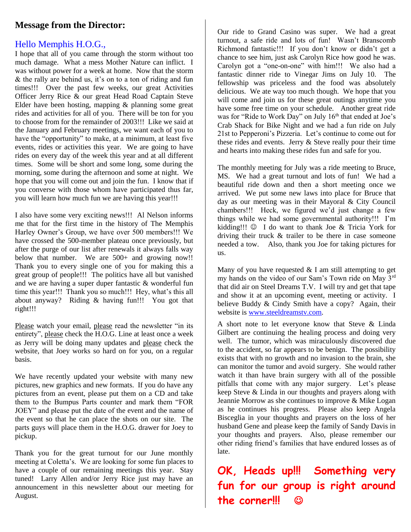## **Message from the Director:**

## Hello Memphis H.O.G.,

I hope that all of you came through the storm without too much damage. What a mess Mother Nature can inflict. I was without power for a week at home. Now that the storm & the rally are behind us, it's on to a ton of riding and fun times!!! Over the past few weeks, our great Activities Officer Jerry Rice & our great Head Road Captain Steve Elder have been hosting, mapping & planning some great rides and activities for all of you. There will be ton for you to choose from for the remainder of 2003!!! Like we said at the January and February meetings, we want each of you to have the "opportunity" to make, at a minimum, at least five events, rides or activities this year. We are going to have rides on every day of the week this year and at all different times. Some will be short and some long, some during the morning, some during the afternoon and some at night. We hope that you will come out and join the fun. I know that if you converse with those whom have participated thus far, you will learn how much fun we are having this year!!!

I also have some very exciting news!!! Al Nelson informs me that for the first time in the history of The Memphis Harley Owner's Group, we have over 500 members!!! We have crossed the 500-member plateau once previously, but after the purge of our list after renewals it always falls way below that number. We are 500+ and growing now!! Thank you to every single one of you for making this a great group of people!!! The politics have all but vanished and we are having a super duper fantastic & wonderful fun time this year!!! Thank you so much!!! Hey, what's this all about anyway? Riding & having fun!!! You got that right!!!

Please watch your email, please read the newsletter "in its entirety", please check the H.O.G. Line at least once a week as Jerry will be doing many updates and please check the website, that Joey works so hard on for you, on a regular basis.

We have recently updated your website with many new pictures, new graphics and new formats. If you do have any pictures from an event, please put them on a CD and take them to the Bumpus Parts counter and mark them "FOR JOEY" and please put the date of the event and the name of the event so that he can place the shots on our site. The parts guys will place them in the H.O.G. drawer for Joey to pickup.

Thank you for the great turnout for our June monthly meeting at Coletta's. We are looking for some fun places to have a couple of our remaining meetings this year. Stay tuned! Larry Allen and/or Jerry Rice just may have an announcement in this newsletter about our meeting for August.

Our ride to Grand Casino was super. We had a great turnout, a safe ride and lots of fun! Wasn't Branscomb Richmond fantastic!!! If you don't know or didn't get a chance to see him, just ask Carolyn Rice how good he was. Carolyn got a "one-on-one" with him!!! We also had a fantastic dinner ride to Vinegar Jims on July 10. The fellowship was priceless and the food was absolutely delicious. We ate way too much though. We hope that you will come and join us for these great outings anytime you have some free time on your schedule. Another great ride was for "Ride to Work Day" on July 16<sup>th</sup> that ended at Joe's Crab Shack for Bike Night and we had a fun ride on July 21st to Pepperoni's Pizzeria. Let's continue to come out for these rides and events. Jerry & Steve really pour their time and hearts into making these rides fun and safe for you.

The monthly meeting for July was a ride meeting to Bruce, MS. We had a great turnout and lots of fun! We had a beautiful ride down and then a short meeting once we arrived. We put some new laws into place for Bruce that day as our meeting was in their Mayoral & City Council chambers!!! Heck, we figured we'd just change a few things while we had some governmental authority!!! I'm kidding!!!  $\odot$  I do want to thank Joe & Tricia York for driving their truck & trailer to be there in case someone needed a tow. Also, thank you Joe for taking pictures for us.

Many of you have requested  $& I$  am still attempting to get my hands on the video of our Sam's Town ride on May 3rd that did air on Steel Dreams T.V. I will try and get that tape and show it at an upcoming event, meeting or activity. I believe Buddy & Cindy Smith have a copy? Again, their website is [www.steeldreamstv.com.](http://www.steeldreamstv.com/)

A short note to let everyone know that Steve & Linda Gilbert are continuing the healing process and doing very well. The tumor, which was miraculously discovered due to the accident, so far appears to be benign. The possibility exists that with no growth and no invasion to the brain, she can monitor the tumor and avoid surgery. She would rather watch it than have brain surgery with all of the possible pitfalls that come with any major surgery. Let's please keep Steve & Linda in our thoughts and prayers along with Jeannie Morrow as she continues to improve & Mike Logan as he continues his progress. Please also keep Angela Bisceglia in your thoughts and prayers on the loss of her husband Gene and please keep the family of Sandy Davis in your thoughts and prayers. Also, please remember our other riding friend's families that have endured losses as of late.

**OK, Heads up!!! Something very fun for our group is right around the corner!!!**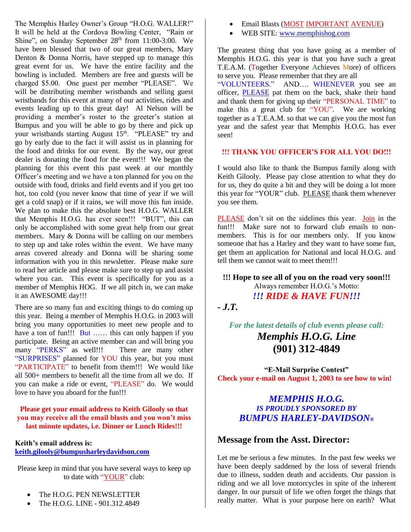The Memphis Harley Owner's Group "H.O.G. WALLER!" It will be held at the Cordova Bowling Center, "Rain or Shine", on Sunday September  $28<sup>th</sup>$  from 11:00-3:00. We have been blessed that two of our great members, Mary Denton & Donna Norris, have stepped up to manage this great event for us. We have the entire facility and the bowling is included. Members are free and guests will be charged \$5.00. One guest per member "PLEASE". We will be distributing member wristbands and selling guest wristbands for this event at many of our activities, rides and events leading up to this great day! Al Nelson will be providing a member's roster to the greeter's station at Bumpus and you will be able to go by there and pick up your wristbands starting August 15<sup>th</sup>. "PLEASE" try and go by early due to the fact it will assist us in planning for the food and drinks for our event. By the way, our great dealer is donating the food for the event!!! We began the planning for this event this past week at our monthly Officer's meeting and we have a ton planned for you on the outside with food, drinks and field events and if you get too hot, too cold (you never know that time of year if we will get a cold snap) or if it rains, we will move this fun inside. We plan to make this the absolute best H.O.G. WALLER that Memphis H.O.G. has ever seen!!! "BUT", this can only be accomplished with some great help from our great members. Mary & Donna will be calling on our members to step up and take roles within the event. We have many areas covered already and Donna will be sharing some information with you in this newsletter. Please make sure to read her article and please make sure to step up and assist where you can. This event is specifically for you as a member of Memphis HOG. If we all pitch in, we can make it an AWESOME day!!!

There are so many fun and exciting things to do coming up this year. Being a member of Memphis H.O.G. in 2003 will bring you many opportunities to meet new people and to have a ton of fun!!! But ...... this can only happen if you participate. Being an active member can and will bring you many "PERKS" as well!!! There are many other "SURPRISES" planned for YOU this year, but you must "PARTICIPATE" to benefit from them!!! We would like all 500+ members to benefit all the time from all we do. If you can make a ride or event, "PLEASE" do. We would love to have you aboard for the fun!!!

#### **Please get your email address to Keith Gilooly so that you may receive all the email blasts and you won't miss last minute updates, i.e. Dinner or Lunch Rides!!!**

#### **Keith's email address is: [keith.gilooly@bumpusharleydavidson.com](mailto:keith.gilooly@bumpusharleydavidson.com)**

Please keep in mind that you have several ways to keep up to date with "YOUR" club:

- The H.O.G. PEN NEWSLETTER
- The H.O.G. LINE 901.312.4849
- **•** Email Blasts (MOST IMPORTANT AVENUE)
- WEB SITE: [www.memphishog.com](http://www.memphishog.com/)

The greatest thing that you have going as a member of Memphis H.O.G. this year is that you have such a great T.E.A.M. (Together Everyone Achieves More) of officers to serve you. Please remember that they are all

"VOLUNTEERS." AND…. WHENEVER you see an officer, PLEASE pat them on the back, shake their hand and thank them for giving up their "PERSONAL TIME" to make this a great club for "YOU". We are working together as a T.E.A.M. so that we can give you the most fun year and the safest year that Memphis H.O.G. has ever seen!

## **!!! THANK YOU OFFICER'S FOR ALL YOU DO!!!**

I would also like to thank the Bumpus family along with Keith Gilooly. Please pay close attention to what they do for us, they do quite a bit and they will be doing a lot more this year for "YOUR" club. PLEASE thank them whenever you see them.

PLEASE don't sit on the sidelines this year. Join in the fun!!! Make sure not to forward club emails to nonmembers. This is for our members only. If you know someone that has a Harley and they want to have some fun, get them an application for National and local H.O.G. and tell them we cannot wait to meet them!!!

**!!! Hope to see all of you on the road very soon!!!**  Always remember H.O.G.'s Motto: *!!! RIDE & HAVE FUN!!!*

*- J.T.* 

*For the latest details of club events please call: Memphis H.O.G. Line* **(901) 312-4849**

**"E-Mail Surprise Contest" Check your e-mail on August 1, 2003 to see how to win!**

## *MEMPHIS H.O.G. IS PROUDLY SPONSORED BY BUMPUS HARLEY-DAVIDSON®*

## **Message from the Asst. Director:**

Let me be serious a few minutes. In the past few weeks we have been deeply saddened by the loss of several friends due to illness, sudden death and accidents. Our passion is riding and we all love motorcycles in spite of the inherent danger. In our pursuit of life we often forget the things that really matter. What is your purpose here on earth? What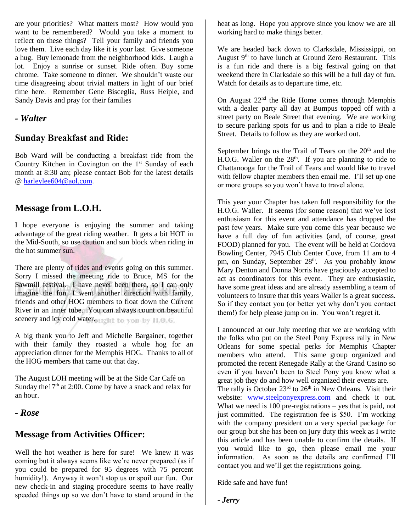are your priorities? What matters most? How would you want to be remembered? Would you take a moment to reflect on these things? Tell your family and friends you love them. Live each day like it is your last. Give someone a hug. Buy lemonade from the neighborhood kids. Laugh a lot. Enjoy a sunrise or sunset. Ride often. Buy some chrome. Take someone to dinner. We shouldn't waste our time disagreeing about trivial matters in light of our brief time here. Remember Gene Bisceglia, Russ Heiple, and Sandy Davis and pray for their families

## *- Walter*

## **Sunday Breakfast and Ride:**

Bob Ward will be conducting a breakfast ride from the Country Kitchen in Covington on the  $1<sup>st</sup>$  Sunday of each month at 8:30 am; please contact Bob for the latest details @ [harleylee604@aol.com.](mailto:harleylee604@aol.com)

## **Message from L.O.H.**

I hope everyone is enjoying the summer and taking advantage of the great riding weather. It gets a bit HOT in the Mid-South, so use caution and sun block when riding in the hot summer sun.

There are plenty of rides and events going on this summer. Sorry I missed the meeting ride to Bruce, MS for the Sawmill festival. I have never been there, so I can only imagine the fun. I went another direction with family, friends and other HOG members to float down the Current River in an inner tube. You can always count on beautiful scenery and icy cold water.ought to you by H.O.G.

A big thank you to Jeff and Michelle Bargainer, together with their family they roasted a whole hog for an appreciation dinner for the Memphis HOG. Thanks to all of the HOG members that came out that day.

The August LOH meeting will be at the Side Car Café on Sunday the  $17<sup>th</sup>$  at 2:00. Come by have a snack and relax for an hour.

## *- Rose*

## **Message from Activities Officer:**

Well the hot weather is here for sure! We knew it was coming but it always seems like we're never prepared (as if you could be prepared for 95 degrees with 75 percent humidity!). Anyway it won't stop us or spoil our fun. Our new check-in and staging procedure seems to have really speeded things up so we don't have to stand around in the heat as long. Hope you approve since you know we are all working hard to make things better.

We are headed back down to Clarksdale, Mississippi, on August  $9<sup>th</sup>$  to have lunch at Ground Zero Restaurant. This is a fun ride and there is a big festival going on that weekend there in Clarksdale so this will be a full day of fun. Watch for details as to departure time, etc.

On August 22<sup>nd</sup> the Ride Home comes through Memphis with a dealer party all day at Bumpus topped off with a street party on Beale Street that evening. We are working to secure parking spots for us and to plan a ride to Beale Street. Details to follow as they are worked out.

September brings us the Trail of Tears on the  $20<sup>th</sup>$  and the H.O.G. Waller on the 28<sup>th</sup>. If you are planning to ride to Chattanooga for the Trail of Tears and would like to travel with fellow chapter members then email me. I'll set up one or more groups so you won't have to travel alone.

This year your Chapter has taken full responsibility for the H.O.G. Waller. It seems (for some reason) that we've lost enthusiasm for this event and attendance has dropped the past few years. Make sure you come this year because we have a full day of fun activities (and, of course, great FOOD) planned for you. The event will be held at Cordova Bowling Center, 7945 Club Center Cove, from 11 am to 4 pm, on Sunday, September 28<sup>th</sup>. As you probably know Mary Denton and Donna Norris have graciously accepted to act as coordinators for this event. They are enthusiastic, have some great ideas and are already assembling a team of volunteers to insure that this years Waller is a great success. So if they contact you (or better yet why don't you contact them!) for help please jump on in. You won't regret it.

I announced at our July meeting that we are working with the folks who put on the Steel Pony Express rally in New Orleans for some special perks for Memphis Chapter members who attend. This same group organized and promoted the recent Renegade Rally at the Grand Casino so even if you haven't been to Steel Pony you know what a great job they do and how well organized their events are.

The rally is October  $23<sup>rd</sup>$  to  $26<sup>th</sup>$  in New Orleans. Visit their website: [www.steelponyexpress.com](http://www.steelponyexpress.com/) and check it out. What we need is 100 pre-registrations – yes that is paid, not just committed. The registration fee is \$50. I'm working with the company president on a very special package for our group but she has been on jury duty this week as I write this article and has been unable to confirm the details. If you would like to go, then please email me your information. As soon as the details are confirmed I'll contact you and we'll get the registrations going.

Ride safe and have fun!

*- Jerry*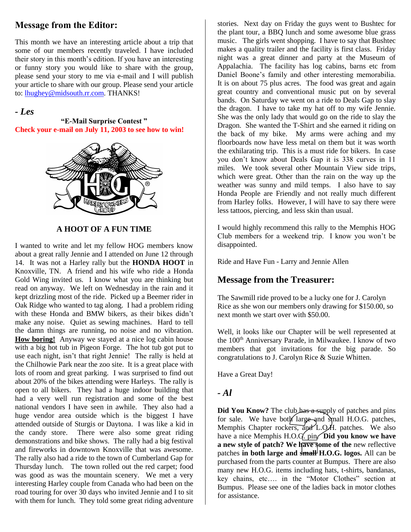## **Message from the Editor:**

This month we have an interesting article about a trip that some of our members recently traveled. I have included their story in this month's edition. If you have an interesting or funny story you would like to share with the group, please send your story to me via e-mail and I will publish your article to share with our group. Please send your article to[: lhughey@midsouth.rr.com.](mailto:lhughey@midsouth.rr.com) THANKS!

## *- Les*

**"E-Mail Surprise Contest " Check your e-mail on July 11, 2003 to see how to win!**



## **A HOOT OF A FUN TIME**

I wanted to write and let my fellow HOG members know about a great rally Jennie and I attended on June 12 through 14. It was not a Harley rally but the **HONDA HOOT** in Knoxville, TN. A friend and his wife who ride a Honda Gold Wing invited us. I know what you are thinking but read on anyway. We left on Wednesday in the rain and it kept drizzling most of the ride. Picked up a Beemer rider in Oak Ridge who wanted to tag along. I had a problem riding with these Honda and BMW bikers, as their bikes didn't make any noise. Quiet as sewing machines. Hard to tell the damn things are running, no noise and no vibration. **How boring!** Anyway we stayed at a nice log cabin house with a big hot tub in Pigeon Forge. The hot tub got put to use each night, isn't that right Jennie! The rally is held at the Chilhowie Park near the zoo site. It is a great place with lots of room and great parking. I was surprised to find out about 20% of the bikes attending were Harleys. The rally is open to all bikers. They had a huge indoor building that had a very well run registration and some of the best national vendors I have seen in awhile. They also had a huge vendor area outside which is the biggest I have attended outside of Sturgis or Daytona. I was like a kid in the candy store. There were also some great riding demonstrations and bike shows. The rally had a big festival and fireworks in downtown Knoxville that was awesome. The rally also had a ride to the town of Cumberland Gap for Thursday lunch. The town rolled out the red carpet; food was good as was the mountain scenery. We met a very interesting Harley couple from Canada who had been on the road touring for over 30 days who invited Jennie and I to sit with them for lunch. They told some great riding adventure

stories. Next day on Friday the guys went to Bushtec for the plant tour, a BBQ lunch and some awesome blue grass music. The girls went shopping. I have to say that Bushtec makes a quality trailer and the facility is first class. Friday night was a great dinner and party at the Museum of Appalachia. The facility has log cabins, barns etc from Daniel Boone's family and other interesting memorabilia. It is on about 75 plus acres. The food was great and again great country and conventional music put on by several bands. On Saturday we went on a ride to Deals Gap to slay the dragon. I have to take my hat off to my wife Jennie. She was the only lady that would go on the ride to slay the Dragon. She wanted the T-Shirt and she earned it riding on the back of my bike. My arms were aching and my floorboards now have less metal on them but it was worth the exhilarating trip. This is a must ride for bikers. In case you don't know about Deals Gap it is 338 curves in 11 miles. We took several other Mountain View side trips, which were great. Other than the rain on the way up the weather was sunny and mild temps. I also have to say Honda People are Friendly and not really much different from Harley folks. However, I will have to say there were less tattoos, piercing, and less skin than usual.

I would highly recommend this rally to the Memphis HOG Club members for a weekend trip. I know you won't be disappointed.

Ride and Have Fun - Larry and Jennie Allen

## **Message from the Treasurer:**

The Sawmill ride proved to be a lucky one for J. Carolyn Rice as she won our members only drawing for \$150.00, so next month we start over with \$50.00.

Well, it looks like our Chapter will be well represented at the 100<sup>th</sup> Anniversary Parade, in Milwaukee. I know of two members that got invitations for the big parade. So congratulations to J. Carolyn Rice & Suzie Whitten.

Have a Great Day!

## *- Al*

**Did You Know?** The club has a supply of patches and pins for sale. We have both large and small H.O.G. patches, Memphis Chapter rockers, and L.O.H. patches. We also have a nice Memphis H.O.G. pin. **Did you know we have a new style of patch? We have some of the** new reflective patches **in both large and small H.O.G. logos.** All can be purchased from the parts counter at Bumpus. There are also many new H.O.G. items including hats, t-shirts, bandanas, key chains, etc…. in the "Motor Clothes" section at Bumpus. Please see one of the ladies back in motor clothes for assistance.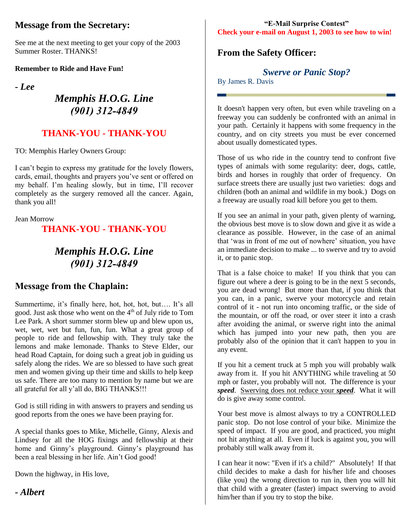## **Message from the Secretary:**

See me at the next meeting to get your copy of the 2003 Summer Roster. THANKS!

**Remember to Ride and Have Fun!** 

*- Lee*

## *Memphis H.O.G. Line (901) 312-4849*

## **THANK-YOU - THANK-YOU**

TO: Memphis Harley Owners Group:

I can't begin to express my gratitude for the lovely flowers, cards, email, thoughts and prayers you've sent or offered on my behalf. I'm healing slowly, but in time, I'll recover completely as the surgery removed all the cancer. Again, thank you all!

Jean Morrow

## **THANK-YOU - THANK-YOU**

## *Memphis H.O.G. Line (901) 312-4849*

## **Message from the Chaplain:**

Summertime, it's finally here, hot, hot, hot, but…. It's all good. Just ask those who went on the 4<sup>th</sup> of July ride to Tom Lee Park. A short summer storm blew up and blew upon us, wet, wet, wet but fun, fun, fun. What a great group of people to ride and fellowship with. They truly take the lemons and make lemonade. Thanks to Steve Elder, our head Road Captain, for doing such a great job in guiding us safely along the rides. We are so blessed to have such great men and women giving up their time and skills to help keep us safe. There are too many to mention by name but we are all grateful for all y'all do, BIG THANKS!!!

God is still riding in with answers to prayers and sending us good reports from the ones we have been praying for.

A special thanks goes to Mike, Michelle, Ginny, Alexis and Lindsey for all the HOG fixings and fellowship at their home and Ginny's playground. Ginny's playground has been a real blessing in her life. Ain't God good!

Down the highway, in His love,

*- Albert*

#### **"E-Mail Surprise Contest" Check your e-mail on August 1, 2003 to see how to win!**

## **From the Safety Officer:**

*Swerve or Panic Stop?*

By James R. Davis

It doesn't happen very often, but even while traveling on a freeway you can suddenly be confronted with an animal in your path. Certainly it happens with some frequency in the country, and on city streets you must be ever concerned about usually domesticated types.

Those of us who ride in the country tend to confront five types of animals with some regularity: deer, dogs, cattle, birds and horses in roughly that order of frequency. On surface streets there are usually just two varieties: dogs and children (both an animal and wildlife in my book.) Dogs on a freeway are usually road kill before you get to them.

If you see an animal in your path, given plenty of warning, the obvious best move is to slow down and give it as wide a clearance as possible. However, in the case of an animal that 'was in front of me out of nowhere' situation, you have an immediate decision to make ... to swerve and try to avoid it, or to panic stop.

That is a false choice to make! If you think that you can figure out where a deer is going to be in the next 5 seconds, you are dead wrong! But more than that, if you think that you can, in a panic, swerve your motorcycle and retain control of it - not run into oncoming traffic, or the side of the mountain, or off the road, or over steer it into a crash after avoiding the animal, or swerve right into the animal which has jumped into your new path, then you are probably also of the opinion that it can't happen to you in any event.

If you hit a cement truck at 5 mph you will probably walk away from it. If you hit ANYTHING while traveling at 50 mph or faster, you probably will not. The difference is your *speed*. Swerving does not reduce your *speed*. What it will do is give away some control.

Your best move is almost always to try a CONTROLLED panic stop. Do not lose control of your bike. Minimize the speed of impact. If you are good, and practiced, you might not hit anything at all. Even if luck is against you, you will probably still walk away from it.

I can hear it now: "Even if it's a child?" Absolutely! If that child decides to make a dash for his/her life and chooses (like you) the wrong direction to run in, then you will hit that child with a greater (faster) impact swerving to avoid him/her than if you try to stop the bike.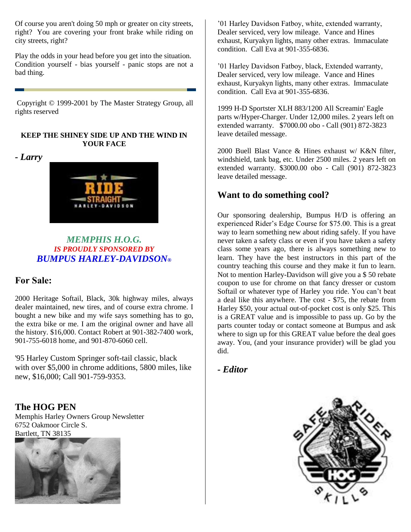Of course you aren't doing 50 mph or greater on city streets, right? You are covering your front brake while riding on city streets, right?

Play the odds in your head before you get into the situation. Condition yourself - bias yourself - panic stops are not a bad thing.

Copyright © 1999-2001 by The Master Strategy Group, all rights reserved

#### **KEEP THE SHINEY SIDE UP AND THE WIND IN YOUR FACE**

*- Larry*



## *MEMPHIS H.O.G. IS PROUDLY SPONSORED BY BUMPUS HARLEY-DAVIDSON®*

## **For Sale:**

2000 Heritage Softail, Black, 30k highway miles, always dealer maintained, new tires, and of course extra chrome. I bought a new bike and my wife says something has to go, the extra bike or me. I am the original owner and have all the history. \$16,000. Contact Robert at 901-382-7400 work, 901-755-6018 home, and 901-870-6060 cell.

'95 Harley Custom Springer soft-tail classic, black with over \$5,000 in chrome additions, 5800 miles, like new, \$16,000; Call 901-759-9353.

## **The HOG PEN**

Memphis Harley Owners Group Newsletter 6752 Oakmoor Circle S. Bartlett, TN 38135



'01 Harley Davidson Fatboy, white, extended warranty, Dealer serviced, very low mileage. Vance and Hines exhaust, Kuryakyn lights, many other extras. Immaculate condition. Call Eva at 901-355-6836.

'01 Harley Davidson Fatboy, black, Extended warranty, Dealer serviced, very low mileage. Vance and Hines exhaust, Kuryakyn lights, many other extras. Immaculate condition. Call Eva at 901-355-6836.

1999 H-D Sportster XLH 883/1200 All Screamin' Eagle parts w/Hyper-Charger. Under 12,000 miles. 2 years left on extended warranty. \$7000.00 obo - Call (901) 872-3823 leave detailed message.

2000 Buell Blast Vance & Hines exhaust w/ K&N filter, windshield, tank bag, etc. Under 2500 miles. 2 years left on extended warranty. \$3000.00 obo - Call (901) 872-3823 leave detailed message.

## **Want to do something cool?**

Our sponsoring dealership, Bumpus H/D is offering an experienced Rider's Edge Course for \$75.00. This is a great way to learn something new about riding safely. If you have never taken a safety class or even if you have taken a safety class some years ago, there is always something new to learn. They have the best instructors in this part of the country teaching this course and they make it fun to learn. Not to mention Harley-Davidson will give you a \$ 50 rebate coupon to use for chrome on that fancy dresser or custom Softail or whatever type of Harley you ride. You can't beat a deal like this anywhere. The cost - \$75, the rebate from Harley \$50, your actual out-of-pocket cost is only \$25. This is a GREAT value and is impossible to pass up. Go by the parts counter today or contact someone at Bumpus and ask where to sign up for this GREAT value before the deal goes away. You, (and your insurance provider) will be glad you did.

## *- Editor*

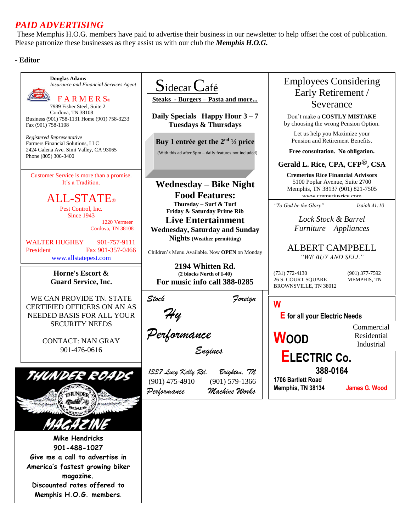## *PAID ADVERTISING*

These Memphis H.O.G. members have paid to advertise their business in our newsletter to help offset the cost of publication. Please patronize these businesses as they assist us with our club the *Memphis H.O.G.*

#### **- Editor**

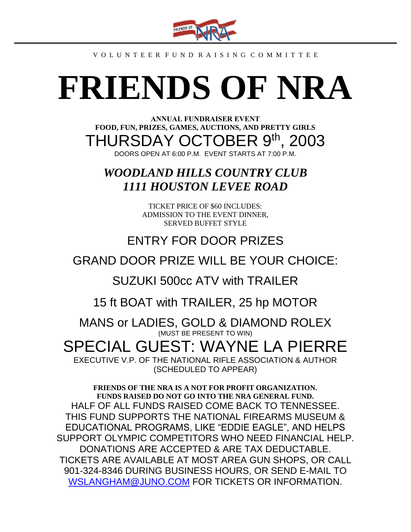

#### V O L U N T E E R F U N D R A I S I N G C O M M I T T E E

# **FRIENDS OF NRA**

**ANNUAL FUNDRAISER EVENT FOOD, FUN, PRIZES, GAMES, AUCTIONS, AND PRETTY GIRLS** THURSDAY OCTOBER 9th, 2003 DOORS OPEN AT 6:00 P.M. EVENT STARTS AT 7:00 P.M.

## *WOODLAND HILLS COUNTRY CLUB 1111 HOUSTON LEVEE ROAD*

TICKET PRICE OF \$60 INCLUDES: ADMISSION TO THE EVENT DINNER, SERVED BUFFET STYLE

## ENTRY FOR DOOR PRIZES

## GRAND DOOR PRIZE WILL BE YOUR CHOICE:

SUZUKI 500cc ATV with TRAILER

15 ft BOAT with TRAILER, 25 hp MOTOR

MANS or LADIES, GOLD & DIAMOND ROLEX (MUST BE PRESENT TO WIN)

## SPECIAL GUEST: WAYNE LA PIERRE

EXECUTIVE V.P. OF THE NATIONAL RIFLE ASSOCIATION & AUTHOR (SCHEDULED TO APPEAR)

**FRIENDS OF THE NRA IS A NOT FOR PROFIT ORGANIZATION. FUNDS RAISED DO NOT GO INTO THE NRA GENERAL FUND.** HALF OF ALL FUNDS RAISED COME BACK TO TENNESSEE. THIS FUND SUPPORTS THE NATIONAL FIREARMS MUSEUM & EDUCATIONAL PROGRAMS, LIKE "EDDIE EAGLE", AND HELPS SUPPORT OLYMPIC COMPETITORS WHO NEED FINANCIAL HELP. DONATIONS ARE ACCEPTED & ARE TAX DEDUCTABLE. TICKETS ARE AVAILABLE AT MOST AREA GUN SHOPS, OR CALL 901-324-8346 DURING BUSINESS HOURS, OR SEND E-MAIL TO [WSLANGHAM@JUNO.COM](mailto:WSLANGHAM@JUNO.COM) FOR TICKETS OR INFORMATION.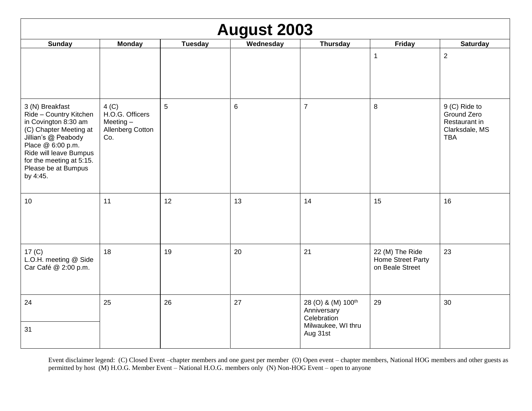| <b>August 2003</b>                                                                                                                                                                                                               |                                                                    |                |           |                                                                                                |                                                         |                                                                               |
|----------------------------------------------------------------------------------------------------------------------------------------------------------------------------------------------------------------------------------|--------------------------------------------------------------------|----------------|-----------|------------------------------------------------------------------------------------------------|---------------------------------------------------------|-------------------------------------------------------------------------------|
| <b>Sunday</b>                                                                                                                                                                                                                    | <b>Monday</b>                                                      | <b>Tuesday</b> | Wednesday | <b>Thursday</b>                                                                                | <b>Friday</b>                                           | <b>Saturday</b>                                                               |
|                                                                                                                                                                                                                                  |                                                                    |                |           |                                                                                                | $\mathbf 1$                                             | $\overline{2}$                                                                |
| 3 (N) Breakfast<br>Ride - Country Kitchen<br>in Covington 8:30 am<br>(C) Chapter Meeting at<br>Jillian's @ Peabody<br>Place @ 6:00 p.m.<br>Ride will leave Bumpus<br>for the meeting at 5:15.<br>Please be at Bumpus<br>by 4:45. | 4 (C)<br>H.O.G. Officers<br>Meeting $-$<br>Allenberg Cotton<br>Co. | 5              | 6         | $\overline{7}$                                                                                 | 8                                                       | 9 (C) Ride to<br>Ground Zero<br>Restaurant in<br>Clarksdale, MS<br><b>TBA</b> |
| 10                                                                                                                                                                                                                               | 11                                                                 | 12             | 13        | 14                                                                                             | 15                                                      | 16                                                                            |
| 17 <sub>(C)</sub><br>L.O.H. meeting @ Side<br>Car Café @ 2:00 p.m.                                                                                                                                                               | 18                                                                 | 19             | 20        | 21                                                                                             | 22 (M) The Ride<br>Home Street Party<br>on Beale Street | 23                                                                            |
| 24<br>31                                                                                                                                                                                                                         | 25                                                                 | 26             | 27        | 28 (O) & (M) 100 <sup>th</sup><br>Anniversary<br>Celebration<br>Milwaukee, WI thru<br>Aug 31st | 29                                                      | 30                                                                            |

Event disclaimer legend: (C) Closed Event –chapter members and one guest per member (O) Open event – chapter members, National HOG members and other guests as permitted by host (M) H.O.G. Member Event – National H.O.G. members only (N) Non-HOG Event – open to anyone